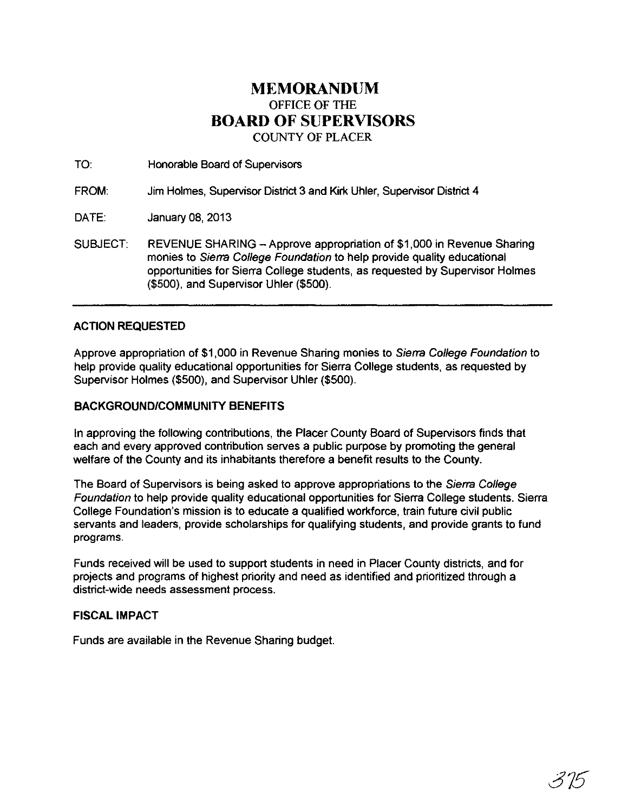## **MEMORANDUM**  OFFICE OF THE **BOARD OF SUPERVISORS**  COUNTY OF PLACER

TO: Honorable Board of Supervisors

FROM: Jim Holmes, Supervisor District 3 and Kirk Uhler, Supervisor District 4

DATE: January 08, 2013

SUBJECT: REVENUE SHARING - Approve appropriation of \$1,000 in Revenue Sharing monies to Sierra College Foundation to help provide quality educational opportunities for Sierra College students, as requested by Supervisor Holmes (\$500), and Supervisor Uhler (\$500).

## ACTION REQUESTED

Approve appropriation of \$1,000 in Revenue Sharing monies to Sierra College Foundation to help provide quality educational opportunities for Sierra College students, as requested by Supervisor Holmes (\$500), and Supervisor Uhler (\$500).

## BACKGROUND/COMMUNITY BENEFITS

In approving the following contributions, the Placer County Board of Supervisors finds that each and every approved contribution serves a public purpose by promoting the general welfare of the County and its inhabitants therefore a benefit results to the County.

The Board of Supervisors is being asked to approve appropriations to the Sierra College Foundation to help provide quality educational opportunities for Sierra College students. Sierra College Foundation's mission is to educate a qualified workforce, train future civil public servants and leaders, provide scholarships for qualifying students, and provide grants to fund programs.

Funds received will be used to support students in need in Placer County districts, and for projects and programs of highest priority and need as identified and prioritized through a district-wide needs assessment process.

## FISCAL IMPACT

Funds are available in the Revenue Sharing budget.